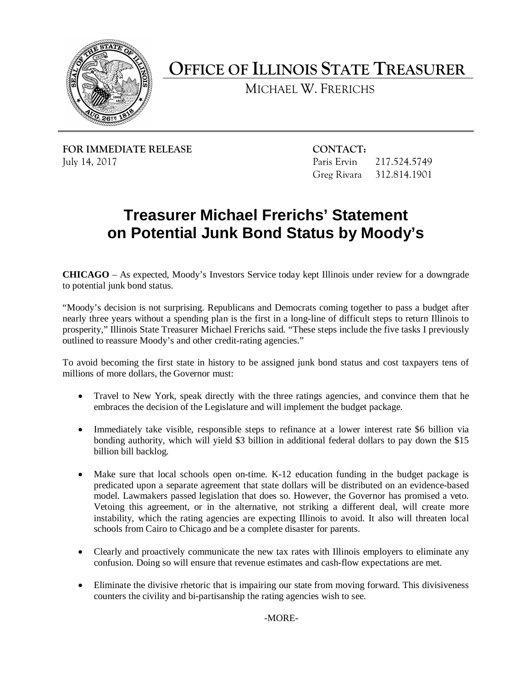

**OFFICE OF ILLINOIS STATE TREASURER** 

MICHAEL W. FRERICHS

**FOR IMMEDIATE RELEASE CONTACT:** July 14, 2017

Paris Ervin 217.524.5749 Greg Rivara 312.814.1901

## **Treasurer Michael Frerichs' Statement on Potential Junk Bond Status by Moody's**

 **CHICAGO** – As expected, Moody's Investors Service today kept Illinois under review for a downgrade to potential junk bond status.

 nearly three years without a spending plan is the first in a long-line of difficult steps to return Illinois to "Moody's decision is not surprising. Republicans and Democrats coming together to pass a budget after prosperity," Illinois State Treasurer Michael Frerichs said. "These steps include the five tasks I previously outlined to reassure Moody's and other credit-rating agencies."

 millions of more dollars, the Governor must: To avoid becoming the first state in history to be assigned junk bond status and cost taxpayers tens of

- • Travel to New York, speak directly with the three ratings agencies, and convince them that he embraces the decision of the Legislature and will implement the budget package.
- bonding authority, which will yield \$3 billion in additional federal dollars to pay down the \$15 • Immediately take visible, responsible steps to refinance at a lower interest rate \$6 billion via billion bill backlog.
- Make sure that local schools open on-time. K-12 education funding in the budget package is predicated upon a separate agreement that state dollars will be distributed on an evidence-based Vetoing this agreement, or in the alternative, not striking a different deal, will create more schools from Cairo to Chicago and be a complete disaster for parents. model. Lawmakers passed legislation that does so. However, the Governor has promised a veto. instability, which the rating agencies are expecting Illinois to avoid. It also will threaten local
- • Clearly and proactively communicate the new tax rates with Illinois employers to eliminate any confusion. Doing so will ensure that revenue estimates and cash-flow expectations are met.
- • Eliminate the divisive rhetoric that is impairing our state from moving forward. This divisiveness counters the civility and bi-partisanship the rating agencies wish to see.

-MORE